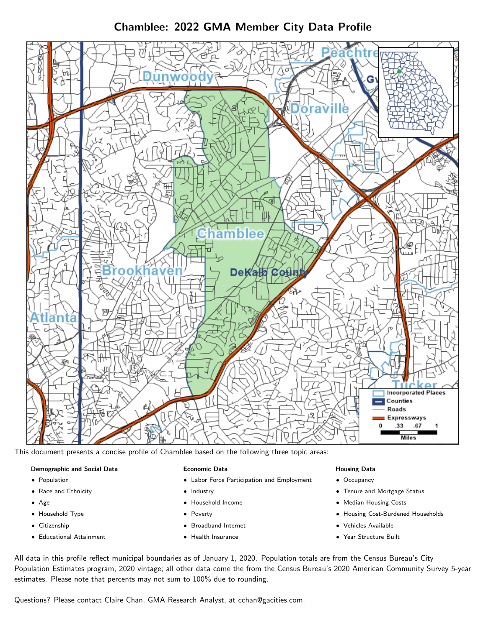Chamblee: 2022 GMA Member City Data Profile



This document presents a concise profile of Chamblee based on the following three topic areas:

# Demographic and Social Data

- **•** Population
- Race and Ethnicity
- Age
- Household Type
- **Citizenship**
- Educational Attainment

### Economic Data

- Labor Force Participation and Employment
- Industry
- Household Income
- Poverty
- Broadband Internet
- Health Insurance

### Housing Data

- Occupancy
- Tenure and Mortgage Status
- Median Housing Costs
- Housing Cost-Burdened Households
- Vehicles Available
- Year Structure Built

All data in this profile reflect municipal boundaries as of January 1, 2020. Population totals are from the Census Bureau's City Population Estimates program, 2020 vintage; all other data come the from the Census Bureau's 2020 American Community Survey 5-year estimates. Please note that percents may not sum to 100% due to rounding.

Questions? Please contact Claire Chan, GMA Research Analyst, at [cchan@gacities.com.](mailto:cchan@gacities.com)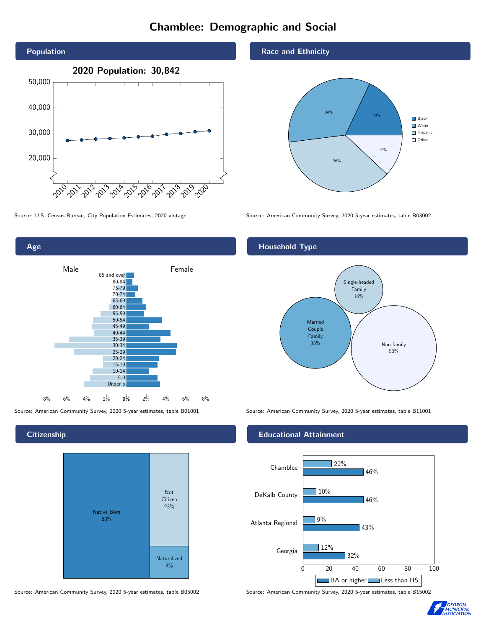# Chamblee: Demographic and Social





**Citizenship** 



Source: American Community Survey, 2020 5-year estimates, table B05002 Source: American Community Survey, 2020 5-year estimates, table B15002

Race and Ethnicity



Source: U.S. Census Bureau, City Population Estimates, 2020 vintage Source: American Community Survey, 2020 5-year estimates, table B03002

## Household Type



Source: American Community Survey, 2020 5-year estimates, table B01001 Source: American Community Survey, 2020 5-year estimates, table B11001

## Educational Attainment



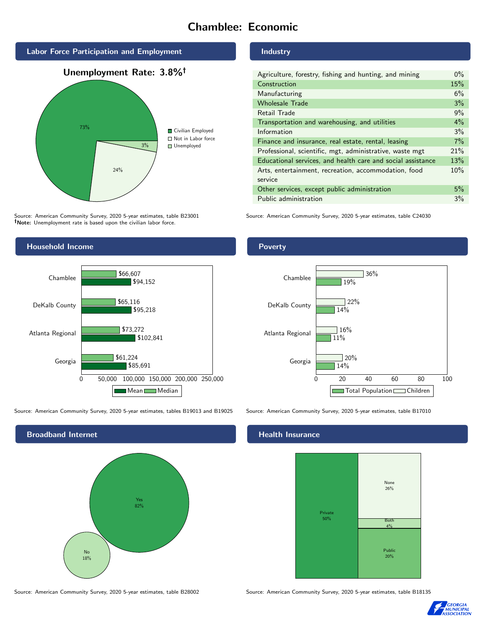# Chamblee: Economic



Source: American Community Survey, 2020 5-year estimates, table B23001 Note: Unemployment rate is based upon the civilian labor force.



Source: American Community Survey, 2020 5-year estimates, tables B19013 and B19025 Source: American Community Survey, 2020 5-year estimates, table B17010



Source: American Community Survey, 2020 5-year estimates, table B28002 Source: American Community Survey, 2020 5-year estimates, table B18135

#### Industry

| Agriculture, forestry, fishing and hunting, and mining      | $0\%$ |
|-------------------------------------------------------------|-------|
| Construction                                                | 15%   |
| Manufacturing                                               | 6%    |
| <b>Wholesale Trade</b>                                      | 3%    |
| Retail Trade                                                | 9%    |
| Transportation and warehousing, and utilities               | 4%    |
| Information                                                 | 3%    |
| Finance and insurance, real estate, rental, leasing         | 7%    |
| Professional, scientific, mgt, administrative, waste mgt    | 21%   |
| Educational services, and health care and social assistance | 13%   |
| Arts, entertainment, recreation, accommodation, food        | 10%   |
| service                                                     |       |
| Other services, except public administration                | 5%    |
| Public administration                                       | 3%    |

Source: American Community Survey, 2020 5-year estimates, table C24030

### Poverty



## **Health Insurance**